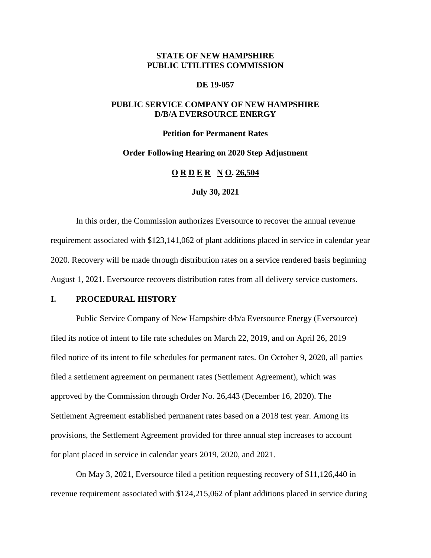## **STATE OF NEW HAMPSHIRE PUBLIC UTILITIES COMMISSION**

#### **DE 19-057**

## **PUBLIC SERVICE COMPANY OF NEW HAMPSHIRE D/B/A EVERSOURCE ENERGY**

#### **Petition for Permanent Rates**

#### **Order Following Hearing on 2020 Step Adjustment**

## **O R D E R N O. 26,504**

#### **July 30, 2021**

In this order, the Commission authorizes Eversource to recover the annual revenue requirement associated with \$123,141,062 of plant additions placed in service in calendar year 2020. Recovery will be made through distribution rates on a service rendered basis beginning August 1, 2021. Eversource recovers distribution rates from all delivery service customers.

## **I. PROCEDURAL HISTORY**

Public Service Company of New Hampshire d/b/a Eversource Energy (Eversource) filed its notice of intent to file rate schedules on March 22, 2019, and on April 26, 2019 filed notice of its intent to file schedules for permanent rates. On October 9, 2020, all parties filed a settlement agreement on permanent rates (Settlement Agreement), which was approved by the Commission through Order No. 26,443 (December 16, 2020). The Settlement Agreement established permanent rates based on a 2018 test year. Among its provisions, the Settlement Agreement provided for three annual step increases to account for plant placed in service in calendar years 2019, 2020, and 2021.

On May 3, 2021, Eversource filed a petition requesting recovery of \$11,126,440 in revenue requirement associated with \$124,215,062 of plant additions placed in service during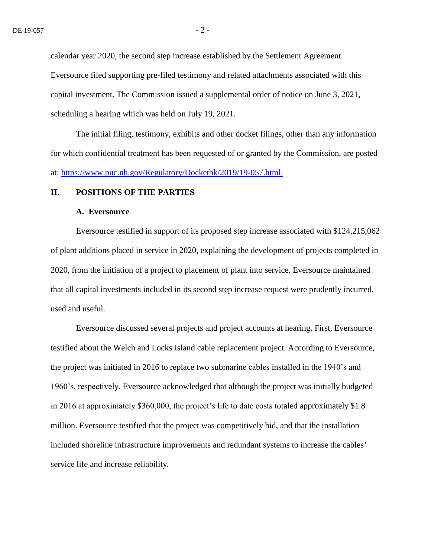calendar year 2020, the second step increase established by the Settlement Agreement. Eversource filed supporting pre-filed testimony and related attachments associated with this capital investment. The Commission issued a supplemental order of notice on June 3, 2021, scheduling a hearing which was held on July 19, 2021.

The initial filing, testimony, exhibits and other docket filings, other than any information for which confidential treatment has been requested of or granted by the Commission, are posted at: <https://www.puc.nh.gov/Regulatory/Docketbk/2019/19-057.html.>

#### **II. POSITIONS OF THE PARTIES**

#### **A. Eversource**

Eversource testified in support of its proposed step increase associated with \$124,215,062 of plant additions placed in service in 2020, explaining the development of projects completed in 2020, from the initiation of a project to placement of plant into service. Eversource maintained that all capital investments included in its second step increase request were prudently incurred, used and useful.

Eversource discussed several projects and project accounts at hearing. First, Eversource testified about the Welch and Locks Island cable replacement project. According to Eversource, the project was initiated in 2016 to replace two submarine cables installed in the 1940's and 1960's, respectively. Eversource acknowledged that although the project was initially budgeted in 2016 at approximately \$360,000, the project's life to date costs totaled approximately \$1.8 million. Eversource testified that the project was competitively bid, and that the installation included shoreline infrastructure improvements and redundant systems to increase the cables' service life and increase reliability.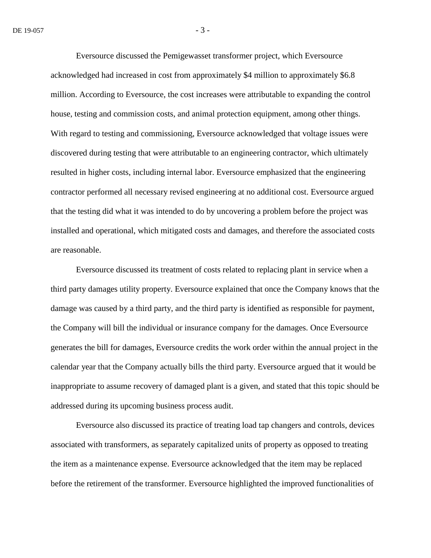Eversource discussed the Pemigewasset transformer project, which Eversource acknowledged had increased in cost from approximately \$4 million to approximately \$6.8 million. According to Eversource, the cost increases were attributable to expanding the control house, testing and commission costs, and animal protection equipment, among other things. With regard to testing and commissioning, Eversource acknowledged that voltage issues were discovered during testing that were attributable to an engineering contractor, which ultimately resulted in higher costs, including internal labor. Eversource emphasized that the engineering contractor performed all necessary revised engineering at no additional cost. Eversource argued that the testing did what it was intended to do by uncovering a problem before the project was installed and operational, which mitigated costs and damages, and therefore the associated costs are reasonable.

Eversource discussed its treatment of costs related to replacing plant in service when a third party damages utility property. Eversource explained that once the Company knows that the damage was caused by a third party, and the third party is identified as responsible for payment, the Company will bill the individual or insurance company for the damages. Once Eversource generates the bill for damages, Eversource credits the work order within the annual project in the calendar year that the Company actually bills the third party. Eversource argued that it would be inappropriate to assume recovery of damaged plant is a given, and stated that this topic should be addressed during its upcoming business process audit.

Eversource also discussed its practice of treating load tap changers and controls, devices associated with transformers, as separately capitalized units of property as opposed to treating the item as a maintenance expense. Eversource acknowledged that the item may be replaced before the retirement of the transformer. Eversource highlighted the improved functionalities of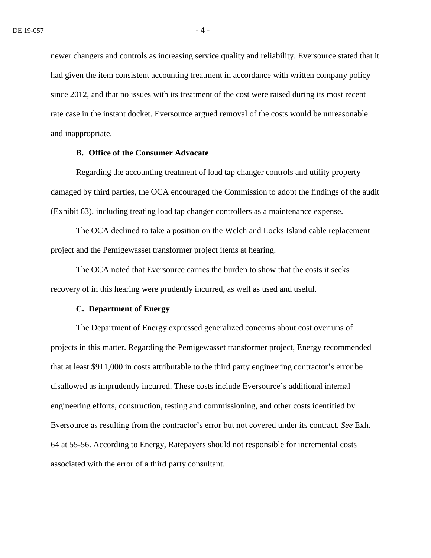newer changers and controls as increasing service quality and reliability. Eversource stated that it had given the item consistent accounting treatment in accordance with written company policy since 2012, and that no issues with its treatment of the cost were raised during its most recent rate case in the instant docket. Eversource argued removal of the costs would be unreasonable and inappropriate.

## **B. Office of the Consumer Advocate**

Regarding the accounting treatment of load tap changer controls and utility property damaged by third parties, the OCA encouraged the Commission to adopt the findings of the audit (Exhibit 63), including treating load tap changer controllers as a maintenance expense.

The OCA declined to take a position on the Welch and Locks Island cable replacement project and the Pemigewasset transformer project items at hearing.

The OCA noted that Eversource carries the burden to show that the costs it seeks recovery of in this hearing were prudently incurred, as well as used and useful.

### **C. Department of Energy**

The Department of Energy expressed generalized concerns about cost overruns of projects in this matter. Regarding the Pemigewasset transformer project, Energy recommended that at least \$911,000 in costs attributable to the third party engineering contractor's error be disallowed as imprudently incurred. These costs include Eversource's additional internal engineering efforts, construction, testing and commissioning, and other costs identified by Eversource as resulting from the contractor's error but not covered under its contract. *See* Exh. 64 at 55-56. According to Energy, Ratepayers should not responsible for incremental costs associated with the error of a third party consultant.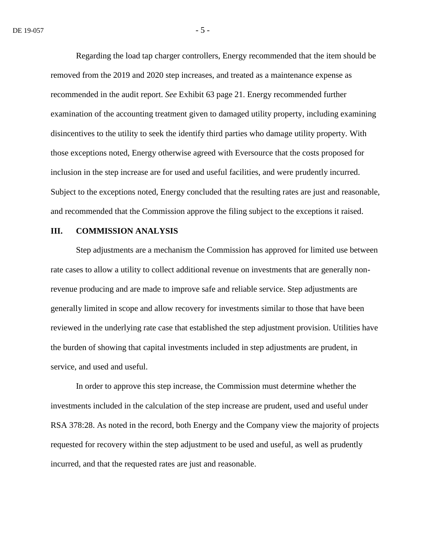Regarding the load tap charger controllers, Energy recommended that the item should be removed from the 2019 and 2020 step increases, and treated as a maintenance expense as recommended in the audit report. *See* Exhibit 63 page 21. Energy recommended further examination of the accounting treatment given to damaged utility property, including examining disincentives to the utility to seek the identify third parties who damage utility property. With those exceptions noted, Energy otherwise agreed with Eversource that the costs proposed for inclusion in the step increase are for used and useful facilities, and were prudently incurred. Subject to the exceptions noted, Energy concluded that the resulting rates are just and reasonable, and recommended that the Commission approve the filing subject to the exceptions it raised.

#### **III. COMMISSION ANALYSIS**

Step adjustments are a mechanism the Commission has approved for limited use between rate cases to allow a utility to collect additional revenue on investments that are generally nonrevenue producing and are made to improve safe and reliable service. Step adjustments are generally limited in scope and allow recovery for investments similar to those that have been reviewed in the underlying rate case that established the step adjustment provision. Utilities have the burden of showing that capital investments included in step adjustments are prudent, in service, and used and useful.

In order to approve this step increase, the Commission must determine whether the investments included in the calculation of the step increase are prudent, used and useful under RSA 378:28. As noted in the record, both Energy and the Company view the majority of projects requested for recovery within the step adjustment to be used and useful, as well as prudently incurred, and that the requested rates are just and reasonable.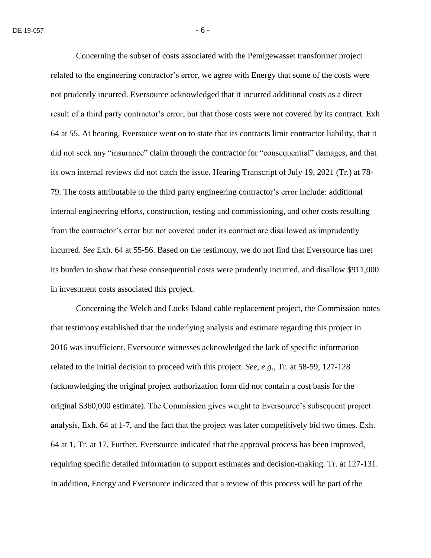Concerning the subset of costs associated with the Pemigewasset transformer project related to the engineering contractor's error, we agree with Energy that some of the costs were not prudently incurred. Eversource acknowledged that it incurred additional costs as a direct result of a third party contractor's error, but that those costs were not covered by its contract. Exh 64 at 55. At hearing, Eversouce went on to state that its contracts limit contractor liability, that it did not seek any "insurance" claim through the contractor for "consequential" damages, and that its own internal reviews did not catch the issue. Hearing Transcript of July 19, 2021 (Tr.) at 78- 79. The costs attributable to the third party engineering contractor's error include: additional internal engineering efforts, construction, testing and commissioning, and other costs resulting from the contractor's error but not covered under its contract are disallowed as imprudently incurred. *See* Exh. 64 at 55-56. Based on the testimony, we do not find that Eversource has met its burden to show that these consequential costs were prudently incurred, and disallow \$911,000 in investment costs associated this project.

Concerning the Welch and Locks Island cable replacement project, the Commission notes that testimony established that the underlying analysis and estimate regarding this project in 2016 was insufficient. Eversource witnesses acknowledged the lack of specific information related to the initial decision to proceed with this project. *See, e.g*., Tr. at 58-59, 127-128 (acknowledging the original project authorization form did not contain a cost basis for the original \$360,000 estimate). The Commission gives weight to Eversource's subsequent project analysis, Exh. 64 at 1-7, and the fact that the project was later competitively bid two times. Exh. 64 at 1, Tr. at 17. Further, Eversource indicated that the approval process has been improved, requiring specific detailed information to support estimates and decision-making. Tr. at 127-131. In addition, Energy and Eversource indicated that a review of this process will be part of the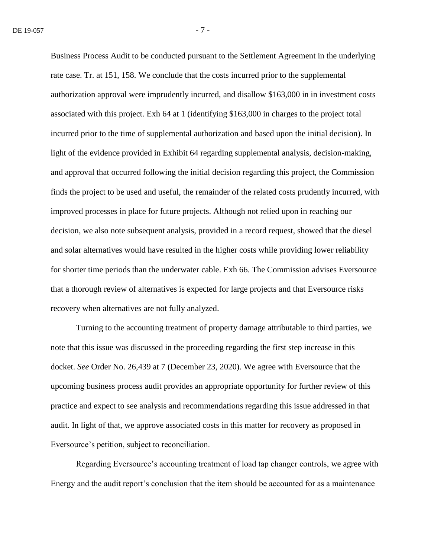Business Process Audit to be conducted pursuant to the Settlement Agreement in the underlying rate case. Tr. at 151, 158. We conclude that the costs incurred prior to the supplemental authorization approval were imprudently incurred, and disallow \$163,000 in in investment costs associated with this project. Exh 64 at 1 (identifying \$163,000 in charges to the project total incurred prior to the time of supplemental authorization and based upon the initial decision). In light of the evidence provided in Exhibit 64 regarding supplemental analysis, decision-making, and approval that occurred following the initial decision regarding this project, the Commission finds the project to be used and useful, the remainder of the related costs prudently incurred, with improved processes in place for future projects. Although not relied upon in reaching our decision, we also note subsequent analysis, provided in a record request, showed that the diesel and solar alternatives would have resulted in the higher costs while providing lower reliability for shorter time periods than the underwater cable. Exh 66. The Commission advises Eversource that a thorough review of alternatives is expected for large projects and that Eversource risks recovery when alternatives are not fully analyzed.

Turning to the accounting treatment of property damage attributable to third parties, we note that this issue was discussed in the proceeding regarding the first step increase in this docket. *See* Order No. 26,439 at 7 (December 23, 2020). We agree with Eversource that the upcoming business process audit provides an appropriate opportunity for further review of this practice and expect to see analysis and recommendations regarding this issue addressed in that audit. In light of that, we approve associated costs in this matter for recovery as proposed in Eversource's petition, subject to reconciliation.

Regarding Eversource's accounting treatment of load tap changer controls, we agree with Energy and the audit report's conclusion that the item should be accounted for as a maintenance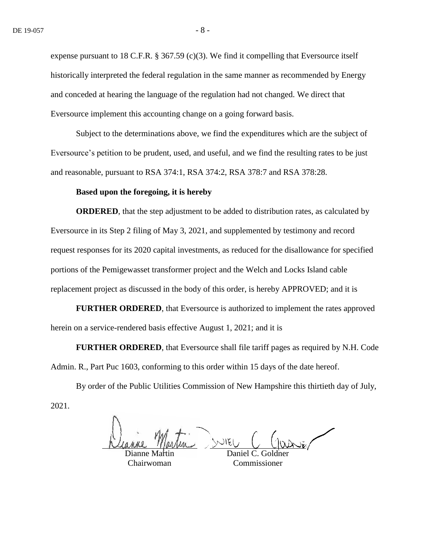expense pursuant to 18 C.F.R.  $\S 367.59$  (c)(3). We find it compelling that Eversource itself historically interpreted the federal regulation in the same manner as recommended by Energy and conceded at hearing the language of the regulation had not changed. We direct that Eversource implement this accounting change on a going forward basis.

Subject to the determinations above, we find the expenditures which are the subject of Eversource's petition to be prudent, used, and useful, and we find the resulting rates to be just and reasonable, pursuant to RSA 374:1, RSA 374:2, RSA 378:7 and RSA 378:28.

#### **Based upon the foregoing, it is hereby**

**ORDERED**, that the step adjustment to be added to distribution rates, as calculated by Eversource in its Step 2 filing of May 3, 2021, and supplemented by testimony and record request responses for its 2020 capital investments, as reduced for the disallowance for specified portions of the Pemigewasset transformer project and the Welch and Locks Island cable replacement project as discussed in the body of this order, is hereby APPROVED; and it is

**FURTHER ORDERED**, that Eversource is authorized to implement the rates approved herein on a service-rendered basis effective August 1, 2021; and it is

**FURTHER ORDERED**, that Eversource shall file tariff pages as required by N.H. Code Admin. R., Part Puc 1603, conforming to this order within 15 days of the date hereof.

By order of the Public Utilities Commission of New Hampshire this thirtieth day of July, 2021.

Dianne Martin Daniel C. Goldner

Chairwoman

Commissioner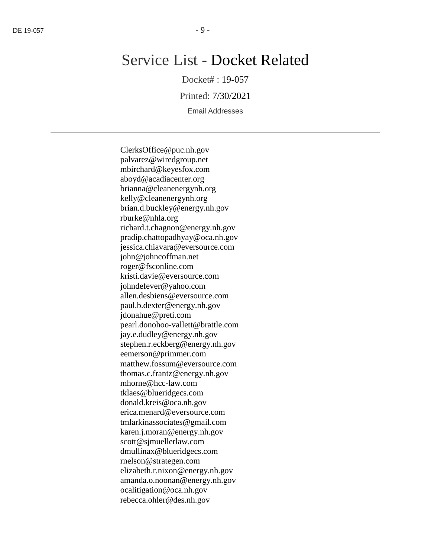# Service List - Docket Related

Docket# : 19-057

Printed: 7/30/2021

Email Addresses

ClerksOffice@puc.nh.gov palvarez@wiredgroup.net mbirchard@keyesfox.com aboyd@acadiacenter.org brianna@cleanenergynh.org kelly@cleanenergynh.org brian.d.buckley@energy.nh.gov rburke@nhla.org richard.t.chagnon@energy.nh.gov pradip.chattopadhyay@oca.nh.gov jessica.chiavara@eversource.com john@johncoffman.net roger@fsconline.com kristi.davie@eversource.com johndefever@yahoo.com allen.desbiens@eversource.com paul.b.dexter@energy.nh.gov jdonahue@preti.com pearl.donohoo-vallett@brattle.com jay.e.dudley@energy.nh.gov stephen.r.eckberg@energy.nh.gov eemerson@primmer.com matthew.fossum@eversource.com thomas.c.frantz@energy.nh.gov mhorne@hcc-law.com tklaes@blueridgecs.com donald.kreis@oca.nh.gov erica.menard@eversource.com tmlarkinassociates@gmail.com karen.j.moran@energy.nh.gov scott@sjmuellerlaw.com dmullinax@blueridgecs.com rnelson@strategen.com elizabeth.r.nixon@energy.nh.gov amanda.o.noonan@energy.nh.gov ocalitigation@oca.nh.gov rebecca.ohler@des.nh.gov